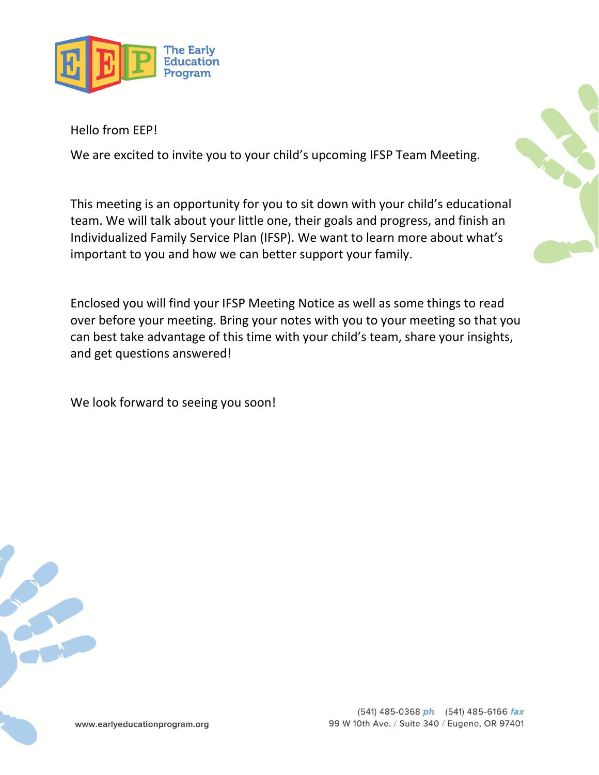

Hello from EEP!

We are excited to invite you to your child's upcoming IFSP Team Meeting.

This meeting is an opportunity for you to sit down with your child's educational team. We will talk about your little one, their goals and progress, and finish an Individualized Family Service Plan (IFSP). We want to learn more about what's important to you and how we can better support your family.

Enclosed you will find your IFSP Meeting Notice as well as some things to read over before your meeting. Bring your notes with you to your meeting so that you can best take advantage of this time with your child's team, share your insights, and get questions answered!

We look forward to seeing you soon!